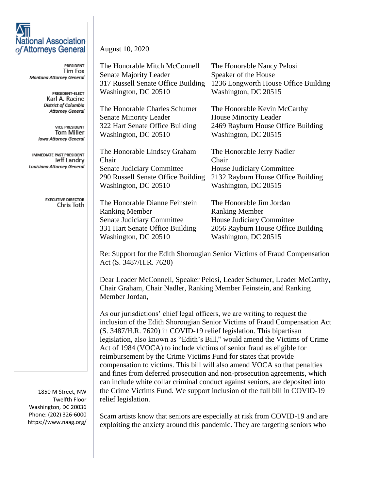## **National Association** of Attorneys General

**PRESIDENT** Tim Fox Montana Attorney General

> PRESIDENT-ELECT Karl A. Racine **District of Columbia Attorney General**

**VICE PRESIDENT Tom Miller Iowa Attorney General** 

IMMEDIATE PAST PRESIDENT Jeff Landry Louisiana Attorney General

> **EXECUTIVE DIRECTOR** Chris Toth

1850 M Street, NW Twelfth Floor Washington, DC 20036 Phone: (202) 326-6000 https://www.naag.org/

## August 10, 2020

| Senate Majority Leader<br>317 Russell Senate Office Building | Speaker of the House                                                                          |
|--------------------------------------------------------------|-----------------------------------------------------------------------------------------------|
|                                                              |                                                                                               |
|                                                              | 1236 Longworth House Office Building                                                          |
| Washington, DC 20510                                         | Washington, DC 20515                                                                          |
| The Honorable Charles Schumer                                | The Honorable Kevin McCarthy                                                                  |
| <b>Senate Minority Leader</b>                                | <b>House Minority Leader</b>                                                                  |
| 322 Hart Senate Office Building                              | 2469 Rayburn House Office Building                                                            |
| Washington, DC 20510                                         | Washington, DC 20515                                                                          |
| The Honorable Lindsey Graham                                 | The Honorable Jerry Nadler                                                                    |
| Chair                                                        | Chair                                                                                         |
| Senate Judiciary Committee                                   | House Judiciary Committee                                                                     |
| 290 Russell Senate Office Building                           | 2132 Rayburn House Office Building                                                            |
| Washington, DC 20510                                         | Washington, DC 20515                                                                          |
| The Honorable Dianne Feinstein                               | The Honorable Jim Jordan                                                                      |
|                                                              | <b>Ranking Member</b>                                                                         |
|                                                              | House Judiciary Committee                                                                     |
|                                                              | 2056 Rayburn House Office Building                                                            |
| Washington, DC 20510                                         | Washington, DC 20515                                                                          |
|                                                              | <b>Ranking Member</b><br><b>Senate Judiciary Committee</b><br>331 Hart Senate Office Building |

Re: Support for the Edith Shorougian Senior Victims of Fraud Compensation Act (S. 3487/H.R. 7620)

Dear Leader McConnell, Speaker Pelosi, Leader Schumer, Leader McCarthy, Chair Graham, Chair Nadler, Ranking Member Feinstein, and Ranking Member Jordan,

As our jurisdictions' chief legal officers, we are writing to request the inclusion of the Edith Shorougian Senior Victims of Fraud Compensation Act (S. 3487/H.R. 7620) in COVID-19 relief legislation. This bipartisan legislation, also known as "Edith's Bill," would amend the Victims of Crime Act of 1984 (VOCA) to include victims of senior fraud as eligible for reimbursement by the Crime Victims Fund for states that provide compensation to victims. This bill will also amend VOCA so that penalties and fines from deferred prosecution and non-prosecution agreements, which can include white collar criminal conduct against seniors, are deposited into the Crime Victims Fund. We support inclusion of the full bill in COVID-19 relief legislation.

Scam artists know that seniors are especially at risk from COVID-19 and are exploiting the anxiety around this pandemic. They are targeting seniors who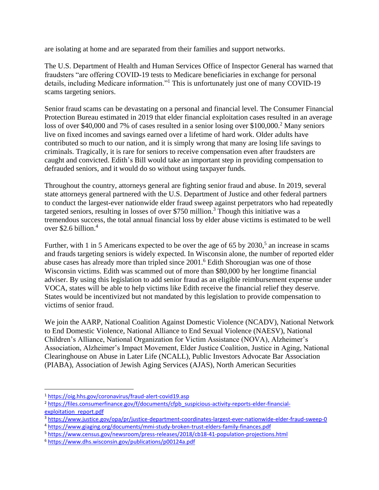are isolating at home and are separated from their families and support networks.

The U.S. Department of Health and Human Services Office of Inspector General has warned that fraudsters "are offering COVID-19 tests to Medicare beneficiaries in exchange for personal details, including Medicare information."<sup>1</sup> This is unfortunately just one of many COVID-19 scams targeting seniors.

Senior fraud scams can be devastating on a personal and financial level. The Consumer Financial Protection Bureau estimated in 2019 that elder financial exploitation cases resulted in an average loss of over \$40,000 and 7% of cases resulted in a senior losing over \$100,000.<sup>2</sup> Many seniors live on fixed incomes and savings earned over a lifetime of hard work. Older adults have contributed so much to our nation, and it is simply wrong that many are losing life savings to criminals. Tragically, it is rare for seniors to receive compensation even after fraudsters are caught and convicted. Edith's Bill would take an important step in providing compensation to defrauded seniors, and it would do so without using taxpayer funds.

Throughout the country, attorneys general are fighting senior fraud and abuse. In 2019, several state attorneys general partnered with the U.S. Department of Justice and other federal partners to conduct the largest-ever nationwide elder fraud sweep against perpetrators who had repeatedly targeted seniors, resulting in losses of over \$750 million.<sup>3</sup> Though this initiative was a tremendous success, the total annual financial loss by elder abuse victims is estimated to be well over \$2.6 billion. 4

Further, with 1 in 5 Americans expected to be over the age of 65 by 2030,<sup>5</sup> an increase in scams and frauds targeting seniors is widely expected. In Wisconsin alone, the number of reported elder abuse cases has already more than tripled since 2001. <sup>6</sup> Edith Shorougian was one of those Wisconsin victims. Edith was scammed out of more than \$80,000 by her longtime financial adviser. By using this legislation to add senior fraud as an eligible reimbursement expense under VOCA, states will be able to help victims like Edith receive the financial relief they deserve. States would be incentivized but not mandated by this legislation to provide compensation to victims of senior fraud.

We join the AARP, National Coalition Against Domestic Violence (NCADV), National Network to End Domestic Violence, National Alliance to End Sexual Violence (NAESV), National Children's Alliance, National Organization for Victim Assistance (NOVA), Alzheimer's Association, Alzheimer's Impact Movement, Elder Justice Coalition, Justice in Aging, National Clearinghouse on Abuse in Later Life (NCALL), Public Investors Advocate Bar Association (PIABA), Association of Jewish Aging Services (AJAS), North American Securities

<sup>1</sup> <https://oig.hhs.gov/coronavirus/fraud-alert-covid19.asp>

<sup>&</sup>lt;sup>2</sup> [https://files.consumerfinance.gov/f/documents/cfpb\\_suspicious-activity-reports-elder-financial](https://files.consumerfinance.gov/f/documents/cfpb_suspicious-activity-reports-elder-financial-exploitation_report.pdf)[exploitation\\_report.pdf](https://files.consumerfinance.gov/f/documents/cfpb_suspicious-activity-reports-elder-financial-exploitation_report.pdf)

<sup>3</sup> <https://www.justice.gov/opa/pr/justice-department-coordinates-largest-ever-nationwide-elder-fraud-sweep-0>

<sup>4</sup> <https://www.giaging.org/documents/mmi-study-broken-trust-elders-family-finances.pdf>

<sup>5</sup> <https://www.census.gov/newsroom/press-releases/2018/cb18-41-population-projections.html>

<sup>6</sup> <https://www.dhs.wisconsin.gov/publications/p00124a.pdf>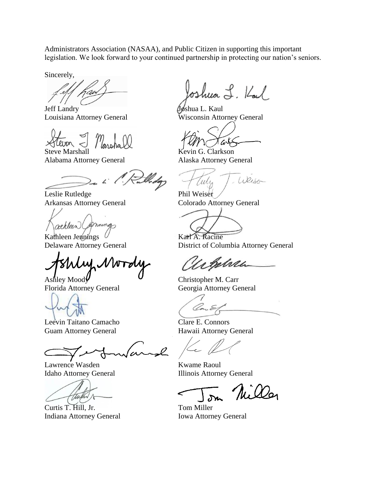Administrators Association (NASAA), and Public Citizen in supporting this important legislation. We look forward to your continued partnership in protecting our nation's seniors.

Sincerely,

Jeff Landry **Joshua L. Kaul** 

Steve Marshall Kevin G. Clarkson

Alabama Attorney General Alaska Attorney General

Leslie Rutledge Phil Weiser Arkansas Attorney General Colorado Attorney General

mings athleen

Kathleen Jennings V Karl A. Racine

Leevin Taitano Camacho Clare E. Connors Guam Attorney General Hawaii Attorney General

 $\mathscr{Q}$ 

Lawrence Wasden Kwame Raoul

ttu

Curtis T. Hill, Jr. Tom Miller Indiana Attorney General Iowa Attorney General

oshua L. Kal

Louisiana Attorney General Wisconsin Attorney General

 $a\sqrt{ }$ 

Weiser Cella

Delaware Attorney General District of Columbia Attorney General

ebelvei

Ashley Mood $\mathcal{Y}$  Christopher M. Carr Florida Attorney General Georgia Attorney General

Idaho Attorney General Illinois Attorney General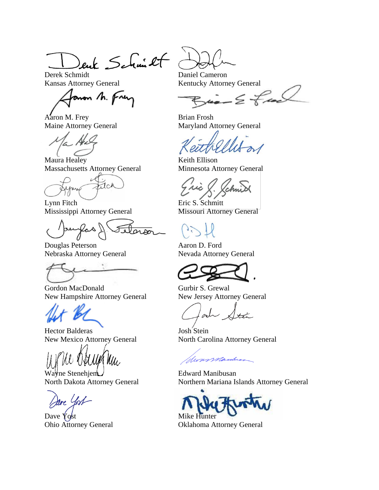Deut Schmitt Daniel Cameron

Kansas Attorney General Kentucky Attorney General

von M. Frey

Aaron M. Frey Brian Frosh

Maura Healey Keith Ellison Massachusetts Attorney General Minnesota Attorney General

 $1c<sub>k</sub>$ 

Lynn Fitch Eric S. Schmitt Mississippi Attorney General Missouri Attorney General

Douglas Peterson Aaron D. Ford Nebraska Attorney General Nevada Attorney General

Gordon MacDonald Gurbir S. Grewal New Hampshire Attorney General New Jersey Attorney General

Hector Balderas Josh Stein

Wayne Stenehjem Felward Manibusan

 $\Delta$ Dave  $\gamma$ ost  $\Delta$ Mike Hunter

 $\leq$  from

Maine Attorney General Maryland Attorney General

New Mexico Attorney General North Carolina Attorney General

Wonsmanber

North Dakota Attorney General Northern Mariana Islands Attorney General

Ohio Attorney General Oklahoma Attorney General